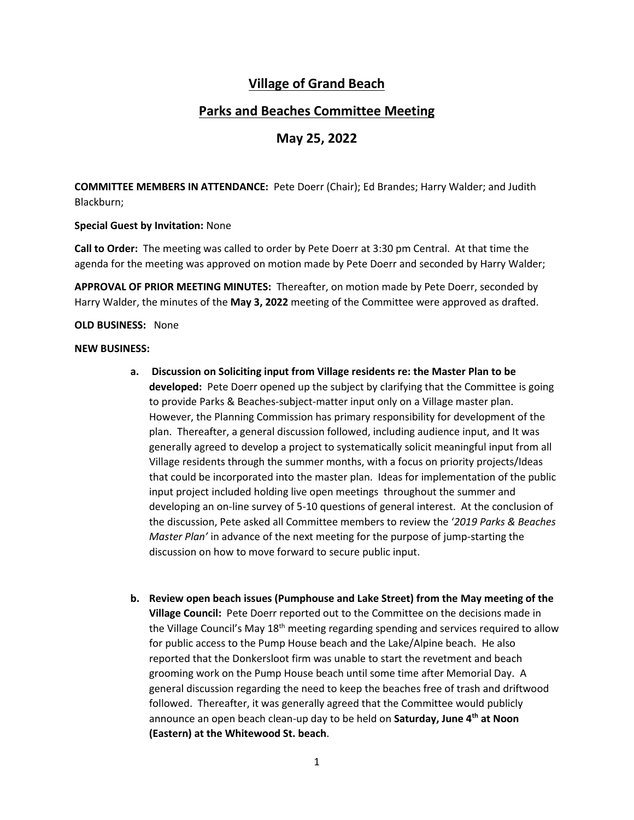# **Village of Grand Beach**

# **Parks and Beaches Committee Meeting**

## **May 25, 2022**

**COMMITTEE MEMBERS IN ATTENDANCE:** Pete Doerr (Chair); Ed Brandes; Harry Walder; and Judith Blackburn;

### **Special Guest by Invitation:** None

**Call to Order:** The meeting was called to order by Pete Doerr at 3:30 pm Central. At that time the agenda for the meeting was approved on motion made by Pete Doerr and seconded by Harry Walder;

**APPROVAL OF PRIOR MEETING MINUTES:** Thereafter, on motion made by Pete Doerr, seconded by Harry Walder, the minutes of the **May 3, 2022** meeting of the Committee were approved as drafted.

### **OLD BUSINESS:** None

#### **NEW BUSINESS:**

- **a. Discussion on Soliciting input from Village residents re: the Master Plan to be developed:** Pete Doerr opened up the subject by clarifying that the Committee is going to provide Parks & Beaches-subject-matter input only on a Village master plan. However, the Planning Commission has primary responsibility for development of the plan. Thereafter, a general discussion followed, including audience input, and It was generally agreed to develop a project to systematically solicit meaningful input from all Village residents through the summer months, with a focus on priority projects/Ideas that could be incorporated into the master plan. Ideas for implementation of the public input project included holding live open meetings throughout the summer and developing an on-line survey of 5-10 questions of general interest. At the conclusion of the discussion, Pete asked all Committee members to review the '*2019 Parks & Beaches Master Plan'* in advance of the next meeting for the purpose of jump-starting the discussion on how to move forward to secure public input.
- **b. Review open beach issues (Pumphouse and Lake Street) from the May meeting of the Village Council:** Pete Doerr reported out to the Committee on the decisions made in the Village Council's May  $18<sup>th</sup>$  meeting regarding spending and services required to allow for public access to the Pump House beach and the Lake/Alpine beach. He also reported that the Donkersloot firm was unable to start the revetment and beach grooming work on the Pump House beach until some time after Memorial Day. A general discussion regarding the need to keep the beaches free of trash and driftwood followed. Thereafter, it was generally agreed that the Committee would publicly announce an open beach clean-up day to be held on **Saturday, June 4th at Noon (Eastern) at the Whitewood St. beach**.